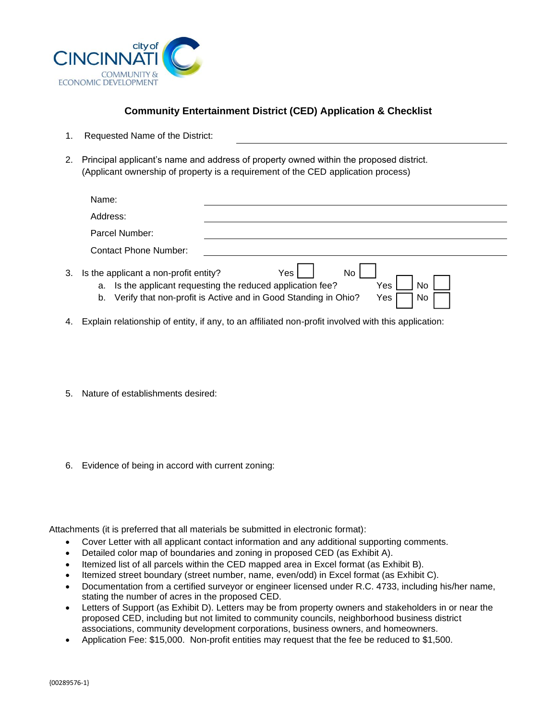

## **Community Entertainment District (CED) Application & Checklist**

- 1. Requested Name of the District:
- 2. Principal applicant's name and address of property owned within the proposed district. (Applicant ownership of property is a requirement of the CED application process)

|    | Name:                                                                                                                                                                                                                 |  |  |  |
|----|-----------------------------------------------------------------------------------------------------------------------------------------------------------------------------------------------------------------------|--|--|--|
|    | Address:                                                                                                                                                                                                              |  |  |  |
|    | Parcel Number:                                                                                                                                                                                                        |  |  |  |
|    | Contact Phone Number:                                                                                                                                                                                                 |  |  |  |
| 3. | No<br>Yes l<br>Is the applicant a non-profit entity?<br>a. Is the applicant requesting the reduced application fee?<br>No<br>Yes<br>Verify that non-profit is Active and in Good Standing in Ohio?<br>Yes<br>No<br>b. |  |  |  |

- 4. Explain relationship of entity, if any, to an affiliated non-profit involved with this application:
- 5. Nature of establishments desired:
- 6. Evidence of being in accord with current zoning:

Attachments (it is preferred that all materials be submitted in electronic format):

- Cover Letter with all applicant contact information and any additional supporting comments.
- Detailed color map of boundaries and zoning in proposed CED (as Exhibit A).
- Itemized list of all parcels within the CED mapped area in Excel format (as Exhibit B).
- Itemized street boundary (street number, name, even/odd) in Excel format (as Exhibit C).
- Documentation from a certified surveyor or engineer licensed under R.C. 4733, including his/her name, stating the number of acres in the proposed CED.
- Letters of Support (as Exhibit D). Letters may be from property owners and stakeholders in or near the proposed CED, including but not limited to community councils, neighborhood business district associations, community development corporations, business owners, and homeowners.
- Application Fee: \$15,000. Non-profit entities may request that the fee be reduced to \$1,500.